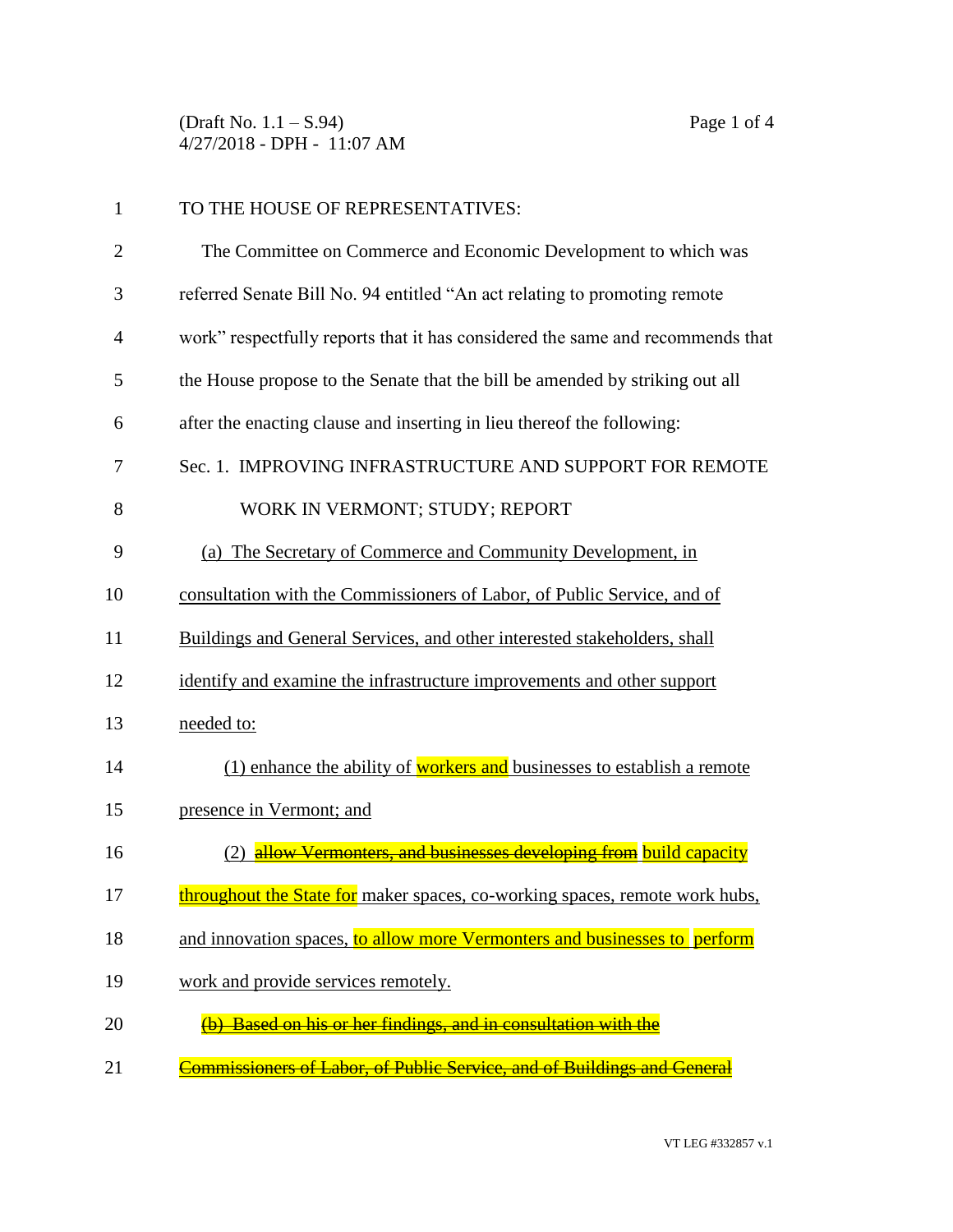(Draft No. 1.1 – S.94) Page 1 of 4 4/27/2018 - DPH - 11:07 AM

| $\mathbf{1}$   | TO THE HOUSE OF REPRESENTATIVES:                                               |
|----------------|--------------------------------------------------------------------------------|
| $\overline{2}$ | The Committee on Commerce and Economic Development to which was                |
| 3              | referred Senate Bill No. 94 entitled "An act relating to promoting remote      |
| $\overline{4}$ | work" respectfully reports that it has considered the same and recommends that |
| 5              | the House propose to the Senate that the bill be amended by striking out all   |
| 6              | after the enacting clause and inserting in lieu thereof the following:         |
| 7              | Sec. 1. IMPROVING INFRASTRUCTURE AND SUPPORT FOR REMOTE                        |
| 8              | WORK IN VERMONT; STUDY; REPORT                                                 |
| 9              | (a) The Secretary of Commerce and Community Development, in                    |
| 10             | consultation with the Commissioners of Labor, of Public Service, and of        |
| 11             | Buildings and General Services, and other interested stakeholders, shall       |
| 12             | identify and examine the infrastructure improvements and other support         |
| 13             | needed to:                                                                     |
| 14             | (1) enhance the ability of workers and businesses to establish a remote        |
| 15             | presence in Vermont; and                                                       |
| 16             | (2) allow Vermonters, and businesses developing from build capacity            |
| 17             | throughout the State for maker spaces, co-working spaces, remote work hubs,    |
| 18             | and innovation spaces, to allow more Vermonters and businesses to perform      |
| 19             | work and provide services remotely.                                            |
| 20             | <b>Based on his or her findings, and in consultation with the</b>              |
| 21             | Commissioners of Labor, of Public Service, and of Buildings and General        |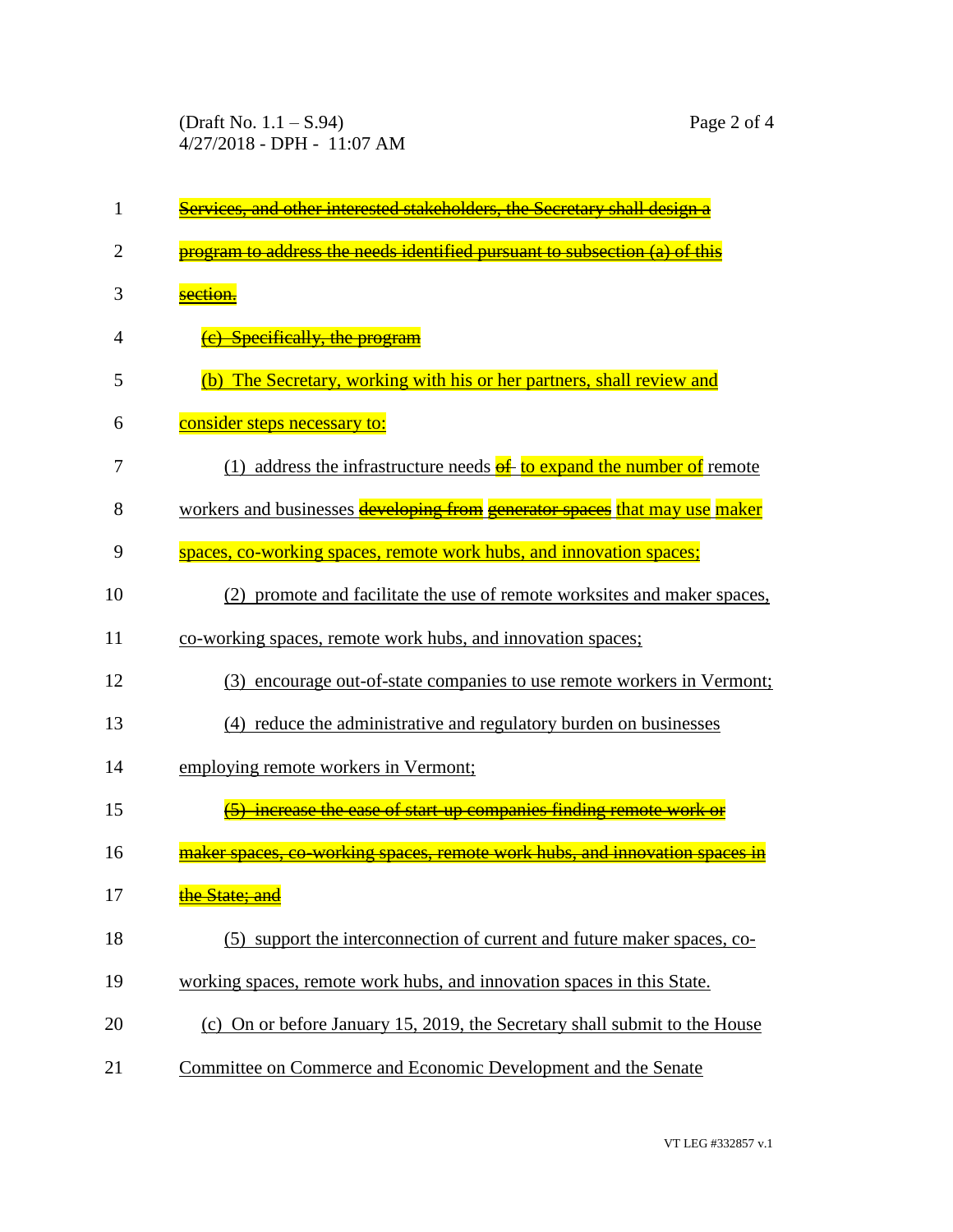(Draft No. 1.1 – S.94) Page 2 of 4 4/27/2018 - DPH - 11:07 AM

| 1  | and other interested stakeholders, the Secretary shall design a                   |
|----|-----------------------------------------------------------------------------------|
| 2  | program to address the needs identified pursuant to subsection (a) of this        |
| 3  | section.                                                                          |
| 4  | (e) Specifically, the program                                                     |
| 5  | The Secretary, working with his or her partners, shall review and<br>(b)          |
| 6  | consider steps necessary to:                                                      |
| 7  | (1) address the infrastructure needs $\frac{f}{g}$ to expand the number of remote |
| 8  | workers and businesses developing from generator spaces that may use maker        |
| 9  | spaces, co-working spaces, remote work hubs, and innovation spaces;               |
| 10 | (2) promote and facilitate the use of remote worksites and maker spaces,          |
| 11 | co-working spaces, remote work hubs, and innovation spaces;                       |
| 12 | (3) encourage out-of-state companies to use remote workers in Vermont;            |
| 13 | (4) reduce the administrative and regulatory burden on businesses                 |
| 14 | employing remote workers in Vermont;                                              |
| 15 | increase the ease of start-up companies finding remote work or                    |
| 16 | maker spaces, co-working spaces<br>remote work hubs, and innovation               |
| 17 | the State; and                                                                    |
| 18 | (5) support the interconnection of current and future maker spaces, co-           |
| 19 | working spaces, remote work hubs, and innovation spaces in this State.            |
| 20 | (c) On or before January 15, 2019, the Secretary shall submit to the House        |
| 21 | Committee on Commerce and Economic Development and the Senate                     |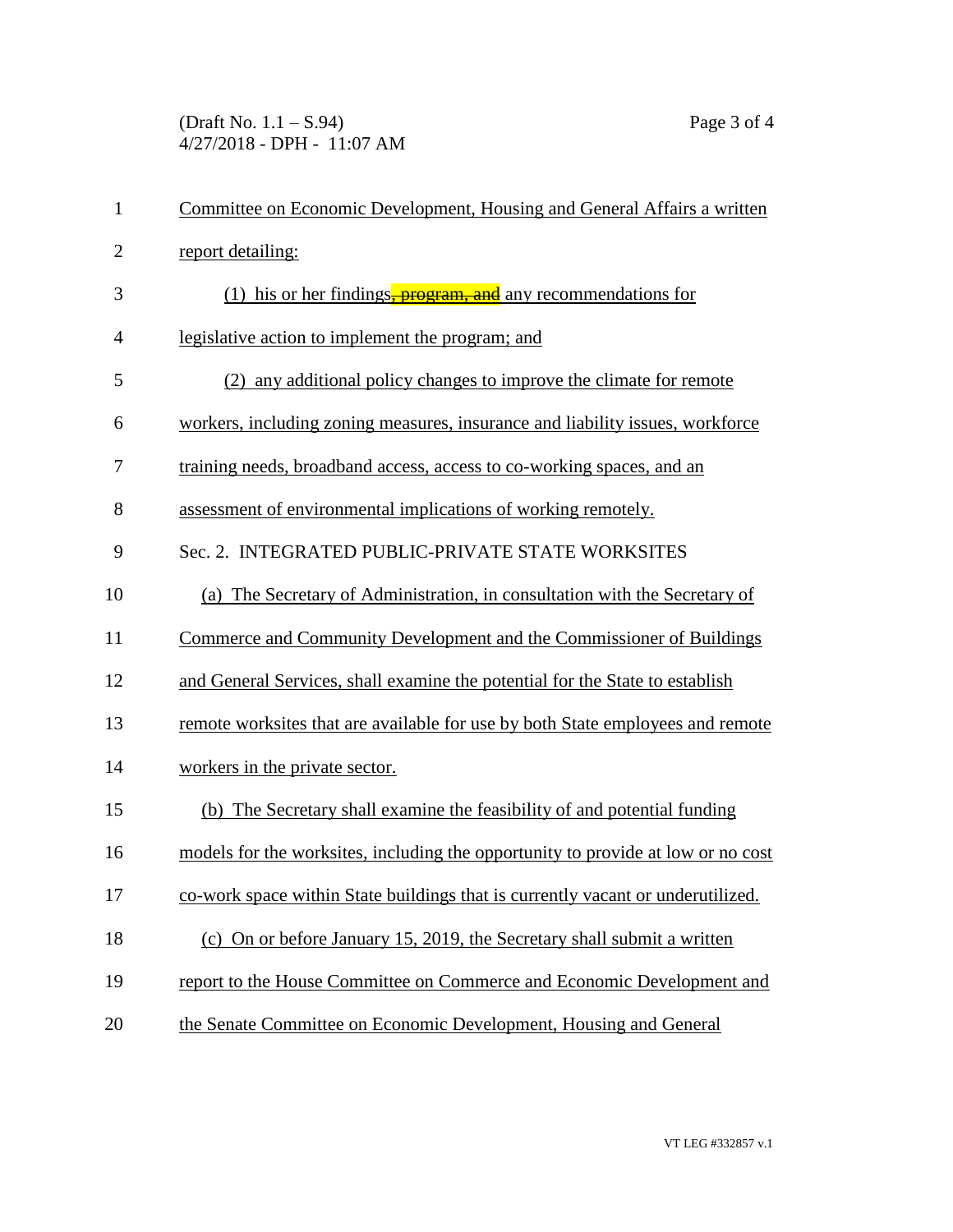(Draft No. 1.1 – S.94) Page 3 of 4 4/27/2018 - DPH - 11:07 AM

| $\mathbf{1}$   | Committee on Economic Development, Housing and General Affairs a written         |
|----------------|----------------------------------------------------------------------------------|
| $\overline{2}$ | report detailing:                                                                |
| 3              | (1) his or her findings-program, and any recommendations for                     |
| $\overline{4}$ | legislative action to implement the program; and                                 |
| 5              | (2) any additional policy changes to improve the climate for remote              |
| 6              | workers, including zoning measures, insurance and liability issues, workforce    |
| 7              | training needs, broadband access, access to co-working spaces, and an            |
| 8              | assessment of environmental implications of working remotely.                    |
| 9              | Sec. 2. INTEGRATED PUBLIC-PRIVATE STATE WORKSITES                                |
| 10             | (a) The Secretary of Administration, in consultation with the Secretary of       |
| 11             | Commerce and Community Development and the Commissioner of Buildings             |
| 12             | and General Services, shall examine the potential for the State to establish     |
| 13             | remote worksites that are available for use by both State employees and remote   |
| 14             | workers in the private sector.                                                   |
| 15             | (b) The Secretary shall examine the feasibility of and potential funding         |
| 16             | models for the worksites, including the opportunity to provide at low or no cost |
| 17             | co-work space within State buildings that is currently vacant or underutilized.  |
| 18             | (c) On or before January 15, 2019, the Secretary shall submit a written          |
| 19             | report to the House Committee on Commerce and Economic Development and           |
| 20             | the Senate Committee on Economic Development, Housing and General                |